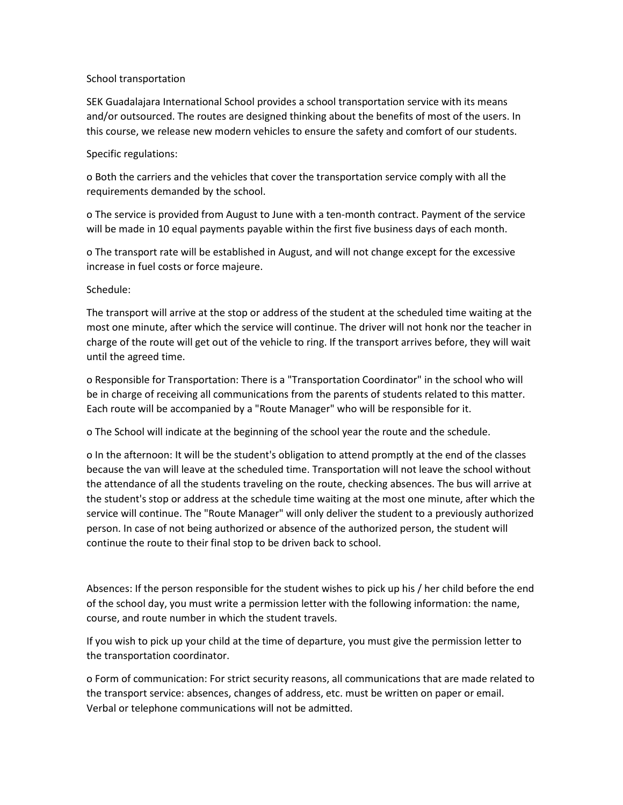## School transportation

SEK Guadalajara International School provides a school transportation service with its means and/or outsourced. The routes are designed thinking about the benefits of most of the users. In this course, we release new modern vehicles to ensure the safety and comfort of our students.

## Specific regulations:

o Both the carriers and the vehicles that cover the transportation service comply with all the requirements demanded by the school.

o The service is provided from August to June with a ten-month contract. Payment of the service will be made in 10 equal payments payable within the first five business days of each month.

o The transport rate will be established in August, and will not change except for the excessive increase in fuel costs or force majeure.

## Schedule:

The transport will arrive at the stop or address of the student at the scheduled time waiting at the most one minute, after which the service will continue. The driver will not honk nor the teacher in charge of the route will get out of the vehicle to ring. If the transport arrives before, they will wait until the agreed time.

o Responsible for Transportation: There is a "Transportation Coordinator" in the school who will be in charge of receiving all communications from the parents of students related to this matter. Each route will be accompanied by a "Route Manager" who will be responsible for it.

o The School will indicate at the beginning of the school year the route and the schedule.

o In the afternoon: It will be the student's obligation to attend promptly at the end of the classes because the van will leave at the scheduled time. Transportation will not leave the school without the attendance of all the students traveling on the route, checking absences. The bus will arrive at the student's stop or address at the schedule time waiting at the most one minute, after which the service will continue. The "Route Manager" will only deliver the student to a previously authorized person. In case of not being authorized or absence of the authorized person, the student will continue the route to their final stop to be driven back to school.

Absences: If the person responsible for the student wishes to pick up his / her child before the end of the school day, you must write a permission letter with the following information: the name, course, and route number in which the student travels.

If you wish to pick up your child at the time of departure, you must give the permission letter to the transportation coordinator.

o Form of communication: For strict security reasons, all communications that are made related to the transport service: absences, changes of address, etc. must be written on paper or email. Verbal or telephone communications will not be admitted.